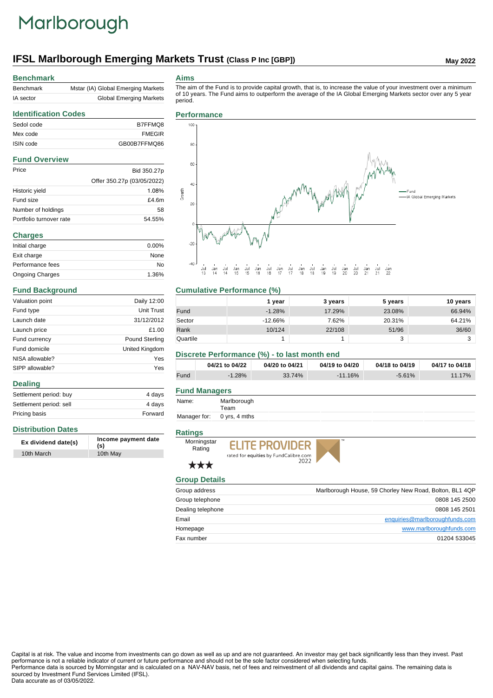# Marlborough

# **IFSL Marlborough Emerging Markets Trust (Class P Inc [GBP])** May 2022

#### **Benchmark**

| Benchmark | Mstar (IA) Global Emerging Markets |
|-----------|------------------------------------|
| IA sector | <b>Global Emerging Markets</b>     |

#### **Aims**

The aim of the Fund is to provide capital growth, that is, to increase the value of your investment over a minimum of 10 years. The Fund aims to outperform the average of the IA Global Emerging Markets sector over any 5 year period.

## **Identification Codes** Sedol code B7FFMQ8 Mex code FMEGIR ISIN code GB00B7FFMQ86 **Fund Overview** Price Bid 350.27p Offer 350.27p (03/05/2022) Historic yield 1.08% Fund size **E4.6m** Number of holdings 58 Portfolio turnover rate 54.55% **Charges**

| Initial charge         | $0.00\%$ |
|------------------------|----------|
| Exit charge            | None     |
| Performance fees       | No       |
| <b>Ongoing Charges</b> | 1.36%    |

### **Fund Background**

| Valuation point | Daily 12:00           |
|-----------------|-----------------------|
| Fund type       | Unit Trust            |
| Launch date     | 31/12/2012            |
| Launch price    | £1.00                 |
| Fund currency   | <b>Pound Sterling</b> |
| Fund domicile   | United Kingdom        |
| NISA allowable? | Yes                   |
| SIPP allowable? | Yes                   |

#### **Dealing**

| Settlement period: buy  | 4 days  |
|-------------------------|---------|
| Settlement period: sell | 4 davs  |
| Pricing basis           | Forward |

#### **Distribution Dates**

| Ex dividend date(s) | Income payment date<br>(s) |
|---------------------|----------------------------|
| 10th March          | 10th May                   |

#### **Performance**



### **Cumulative Performance (%)**

|          | 1 vear   | 3 years | 5 years | 10 years |
|----------|----------|---------|---------|----------|
| Fund     | $-1.28%$ | 17.29%  | 23.08%  | 66.94%   |
| Sector   | -12.66%  | 7.62%   | 20.31%  | 64.21%   |
| Rank     | 10/124   | 22/108  | 51/96   | 36/60    |
| Quartile |          |         | ົ<br>J  |          |

#### **Discrete Performance (%) - to last month end**

|      | 04/21 to 04/22 | 04/20 to 04/21 | 04/19 to 04/20 | 04/18 to 04/19 | 04/17 to 04/18 |
|------|----------------|----------------|----------------|----------------|----------------|
| Fund | $-1.28%$       | 33.74%         | $-11.16%$      | $-5.61%$       | $11.17\%$      |

#### **Fund Managers**

| Name: | Marlborough |
|-------|-------------|
|       | Team        |

Manager for: 0 yrs, 4 mths

#### **Ratings**



\*\*\*





**Group Details** Group address **Marlborough House, 59 Chorley New Road, Bolton, BL1 4QP** New Road, Bolton, BL1 4QP Group telephone 0808 145 2500 Dealing telephone 0808 145 2501 Email enquiries@marlboroughfunds.com Homepage www.marlboroughfunds.com

Fax number 01204 533045

Capital is at risk. The value and income from investments can go down as well as up and are not guaranteed. An investor may get back significantly less than they invest. Past performance is not a reliable indicator of current or future performance and should not be the sole factor considered when selecting funds.

Performance data is sourced by Morningstar and is calculated on a NAV-NAV basis, net of fees and reinvestment of all dividends and capital gains. The remaining data is sourced by Investment Fund Services Limited (IFSL). Data accurate as of 03/05/2022.